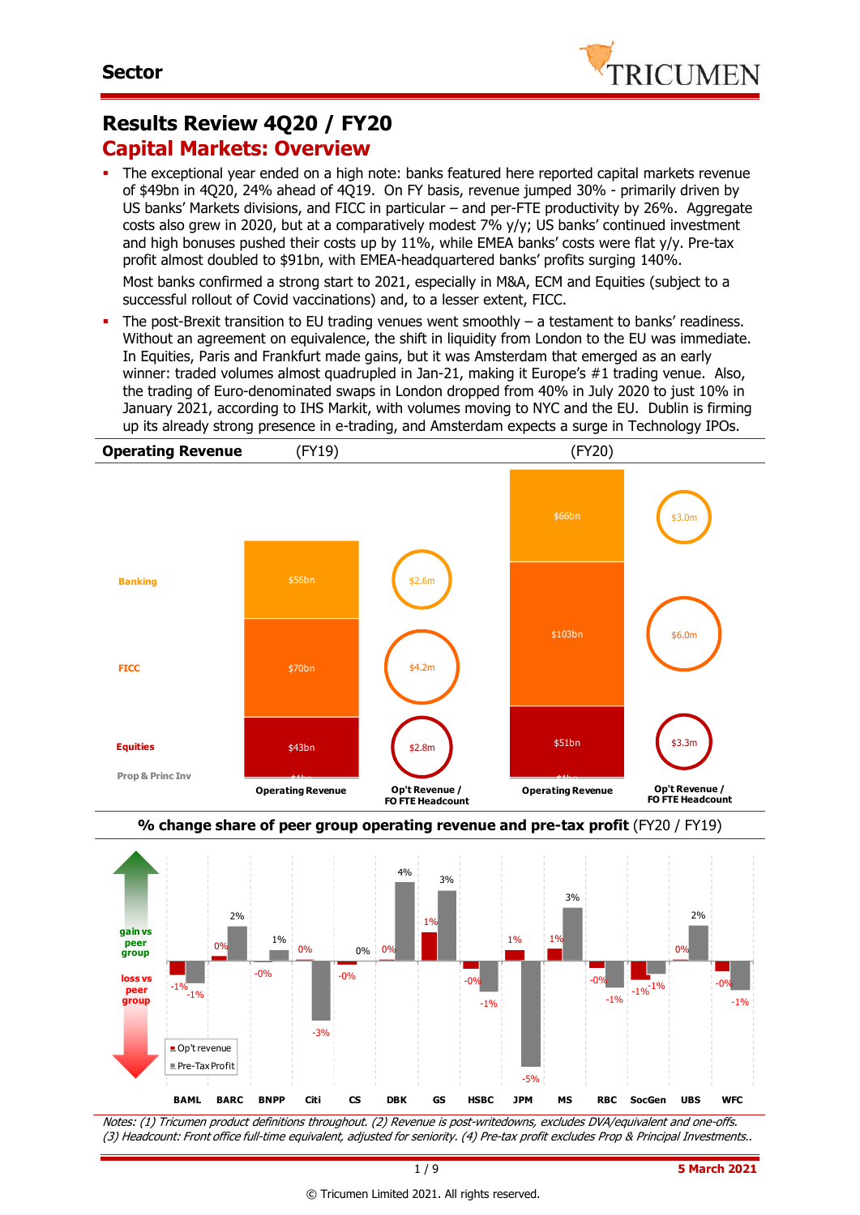

### **Results Review 4Q20 / FY20 Capital Markets: Overview**

 The exceptional year ended on a high note: banks featured here reported capital markets revenue of \$49bn in 4Q20, 24% ahead of 4Q19. On FY basis, revenue jumped 30% - primarily driven by US banks' Markets divisions, and FICC in particular – and per-FTE productivity by 26%. Aggregate costs also grew in 2020, but at a comparatively modest 7% y/y; US banks' continued investment and high bonuses pushed their costs up by 11%, while EMEA banks' costs were flat y/y. Pre-tax profit almost doubled to \$91bn, with EMEA-headquartered banks' profits surging 140%.

Most banks confirmed a strong start to 2021, especially in M&A, ECM and Equities (subject to a successful rollout of Covid vaccinations) and, to a lesser extent, FICC.

The post-Brexit transition to EU trading venues went smoothly  $-$  a testament to banks' readiness. Without an agreement on equivalence, the shift in liquidity from London to the EU was immediate. In Equities, Paris and Frankfurt made gains, but it was Amsterdam that emerged as an early winner: traded volumes almost quadrupled in Jan-21, making it Europe's #1 trading venue. Also, the trading of Euro-denominated swaps in London dropped from 40% in July 2020 to just 10% in January 2021, according to IHS Markit, with volumes moving to NYC and the EU. Dublin is firming up its already strong presence in e-trading, and Amsterdam expects a surge in Technology IPOs.







Notes: (1) Tricumen product definitions throughout. (2) Revenue is post-writedowns, excludes DVA/equivalent and one-offs. (3) Headcount: Front office full-time equivalent, adjusted for seniority. (4) Pre-tax profit excludes Prop & Principal Investments..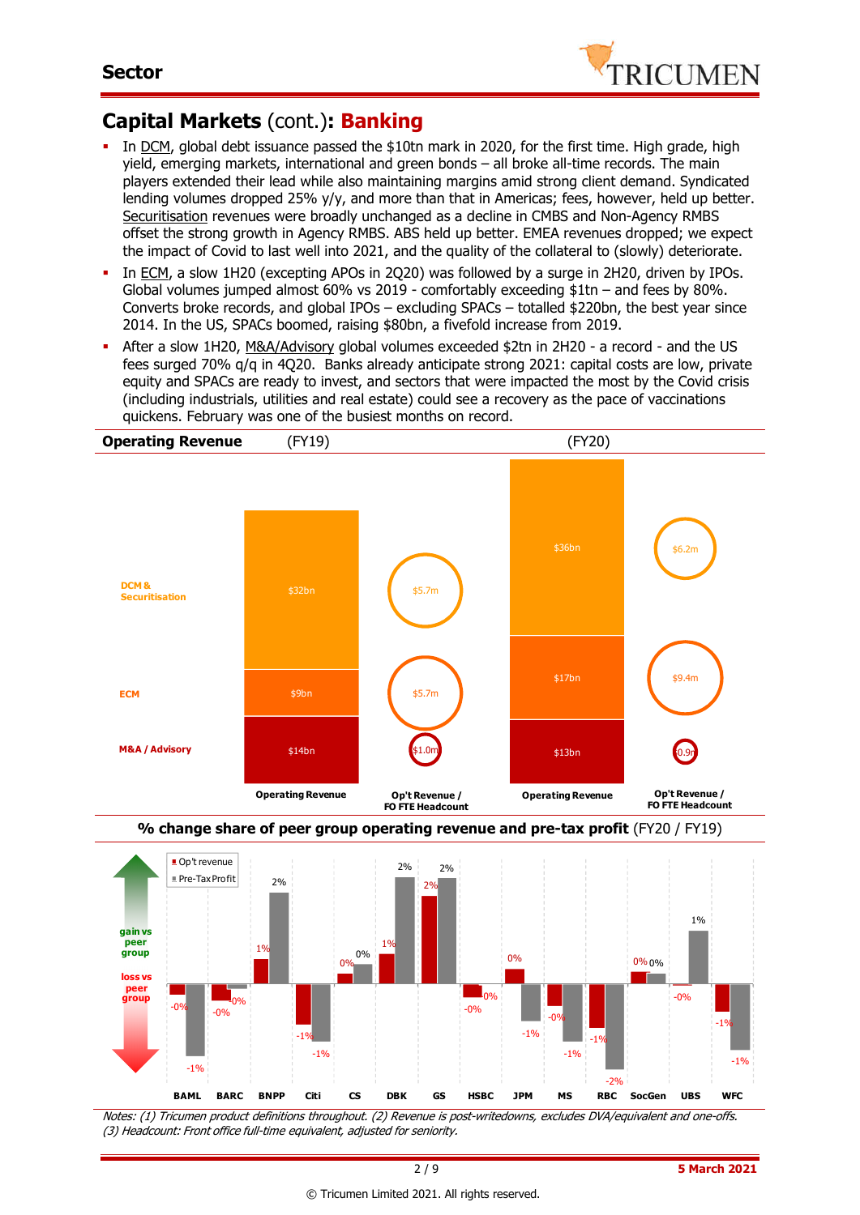

## **Capital Markets** (cont.)**: Banking**

- In DCM, global debt issuance passed the \$10tn mark in 2020, for the first time. High grade, high yield, emerging markets, international and green bonds – all broke all-time records. The main players extended their lead while also maintaining margins amid strong client demand. Syndicated lending volumes dropped 25% y/y, and more than that in Americas; fees, however, held up better. Securitisation revenues were broadly unchanged as a decline in CMBS and Non-Agency RMBS offset the strong growth in Agency RMBS. ABS held up better. EMEA revenues dropped; we expect the impact of Covid to last well into 2021, and the quality of the collateral to (slowly) deteriorate.
- In ECM, a slow 1H20 (excepting APOs in 2Q20) was followed by a surge in 2H20, driven by IPOs. Global volumes jumped almost 60% vs 2019 - comfortably exceeding \$1tn – and fees by 80%. Converts broke records, and global IPOs – excluding SPACs – totalled \$220bn, the best year since 2014. In the US, SPACs boomed, raising \$80bn, a fivefold increase from 2019.
- After a slow 1H20, M&A/Advisory global volumes exceeded \$2tn in 2H20 a record and the US fees surged 70% q/q in 4Q20. Banks already anticipate strong 2021: capital costs are low, private equity and SPACs are ready to invest, and sectors that were impacted the most by the Covid crisis (including industrials, utilities and real estate) could see a recovery as the pace of vaccinations quickens. February was one of the busiest months on record.





Notes: (1) Tricumen product definitions throughout. (2) Revenue is post-writedowns, excludes DVA/equivalent and one-offs. (3) Headcount: Front office full-time equivalent, adjusted for seniority.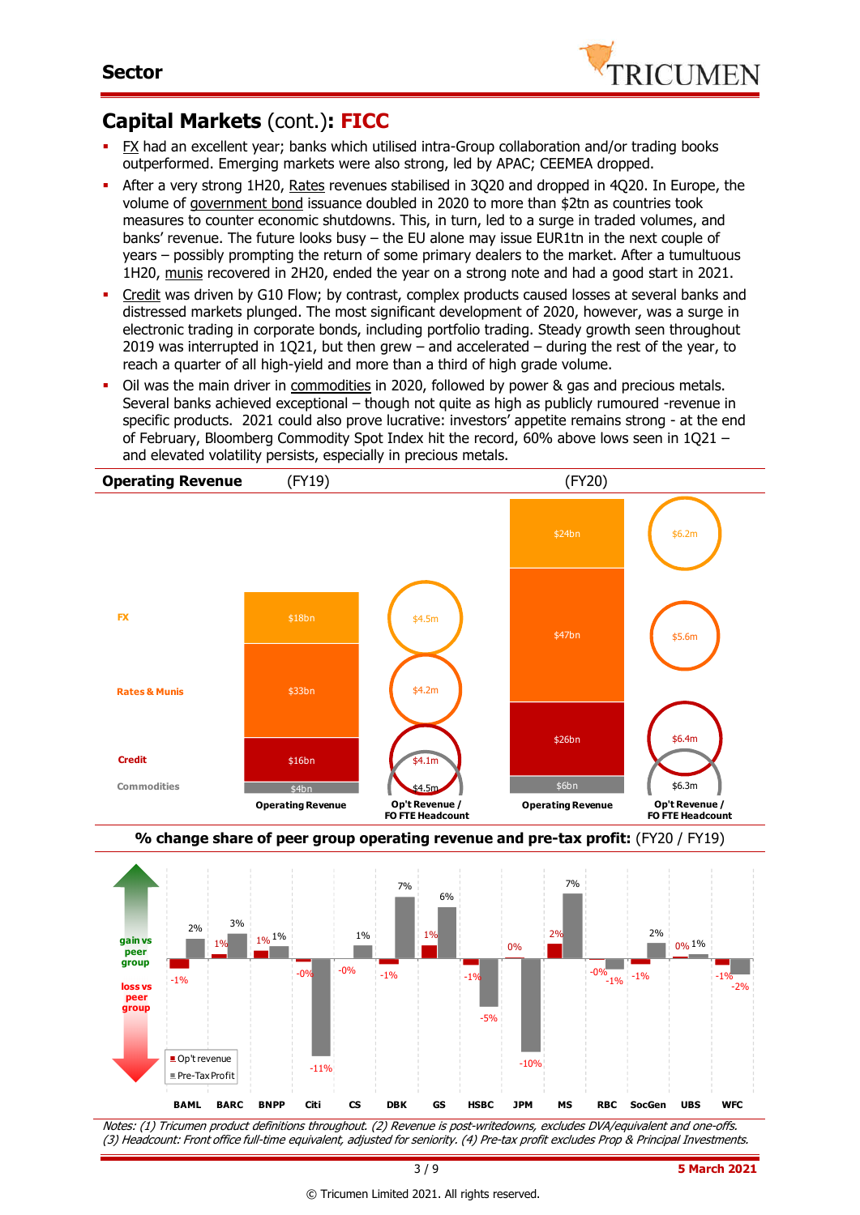

### **Capital Markets** (cont.)**: FICC**

- FX had an excellent year; banks which utilised intra-Group collaboration and/or trading books outperformed. Emerging markets were also strong, led by APAC; CEEMEA dropped.
- After a very strong 1H20, Rates revenues stabilised in 3Q20 and dropped in 4Q20. In Europe, the volume of government bond issuance doubled in 2020 to more than \$2tn as countries took measures to counter economic shutdowns. This, in turn, led to a surge in traded volumes, and banks' revenue. The future looks busy – the EU alone may issue EUR1tn in the next couple of years – possibly prompting the return of some primary dealers to the market. After a tumultuous 1H20, munis recovered in 2H20, ended the year on a strong note and had a good start in 2021.
- Credit was driven by G10 Flow; by contrast, complex products caused losses at several banks and distressed markets plunged. The most significant development of 2020, however, was a surge in electronic trading in corporate bonds, including portfolio trading. Steady growth seen throughout 2019 was interrupted in 1Q21, but then grew – and accelerated – during the rest of the year, to reach a quarter of all high-yield and more than a third of high grade volume.
- Oil was the main driver in commodities in 2020, followed by power & gas and precious metals. Several banks achieved exceptional – though not quite as high as publicly rumoured -revenue in specific products. 2021 could also prove lucrative: investors' appetite remains strong - at the end of February, Bloomberg Commodity Spot Index hit the record, 60% above lows seen in 1Q21 – and elevated volatility persists, especially in precious metals.





Notes: (1) Tricumen product definitions throughout. (2) Revenue is post-writedowns, excludes DVA/equivalent and one-offs. (3) Headcount: Front office full-time equivalent, adjusted for seniority. (4) Pre-tax profit excludes Prop & Principal Investments.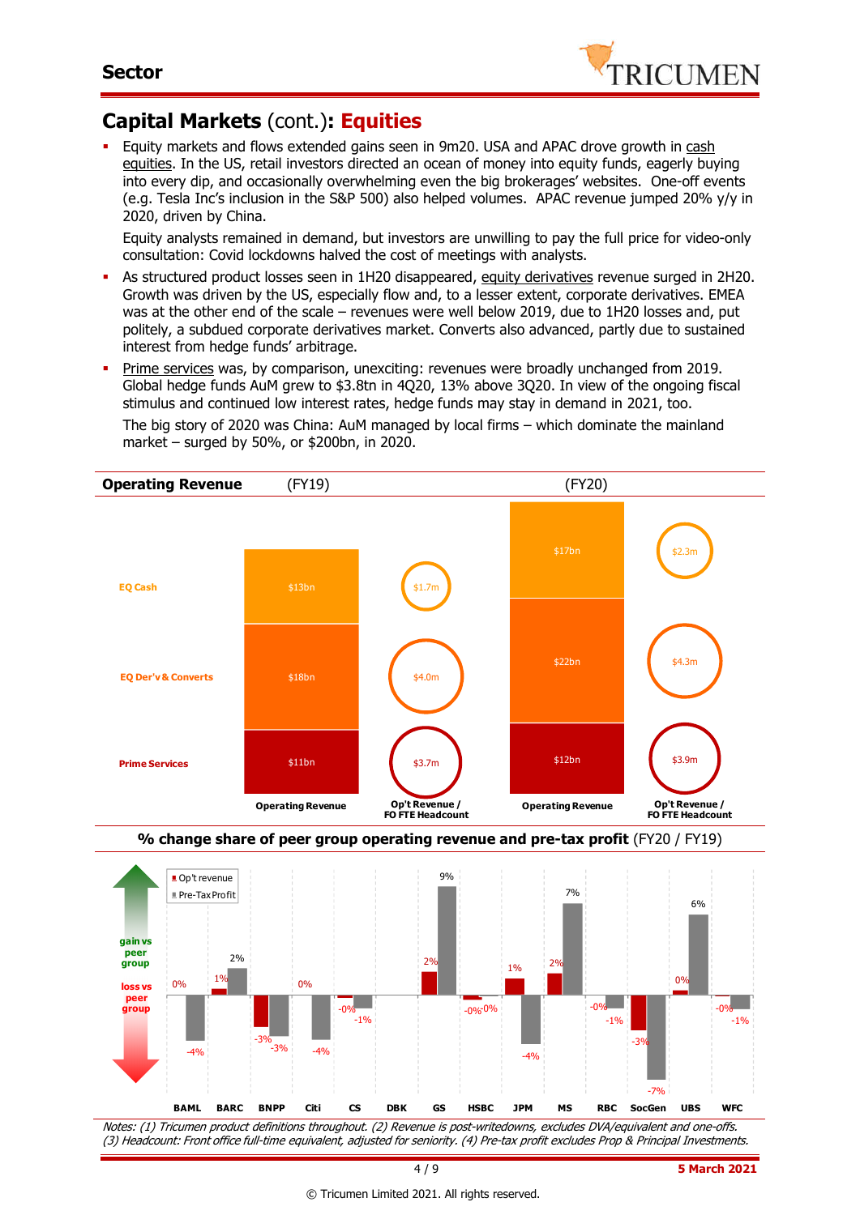

### **Capital Markets** (cont.)**: Equities**

 Equity markets and flows extended gains seen in 9m20. USA and APAC drove growth in cash equities. In the US, retail investors directed an ocean of money into equity funds, eagerly buying into every dip, and occasionally overwhelming even the big brokerages' websites. One-off events (e.g. Tesla Inc's inclusion in the S&P 500) also helped volumes. APAC revenue jumped 20% y/y in 2020, driven by China.

Equity analysts remained in demand, but investors are unwilling to pay the full price for video-only consultation: Covid lockdowns halved the cost of meetings with analysts.

- As structured product losses seen in 1H20 disappeared, equity derivatives revenue surged in 2H20. Growth was driven by the US, especially flow and, to a lesser extent, corporate derivatives. EMEA was at the other end of the scale – revenues were well below 2019, due to 1H20 losses and, put politely, a subdued corporate derivatives market. Converts also advanced, partly due to sustained interest from hedge funds' arbitrage.
- Prime services was, by comparison, unexciting: revenues were broadly unchanged from 2019. Global hedge funds AuM grew to \$3.8tn in 4Q20, 13% above 3Q20. In view of the ongoing fiscal stimulus and continued low interest rates, hedge funds may stay in demand in 2021, too. The big story of 2020 was China: AuM managed by local firms – which dominate the mainland market – surged by 50%, or \$200bn, in 2020.



Notes: (1) Tricumen product definitions throughout. (2) Revenue is post-writedowns, excludes DVA/equivalent and one-offs. (3) Headcount: Front office full-time equivalent, adjusted for seniority. (4) Pre-tax profit excludes Prop & Principal Investments.

**BAML BARC BNPP Citi CS DBK GS HSBC JPM MS RBC SocGen UBS WFC**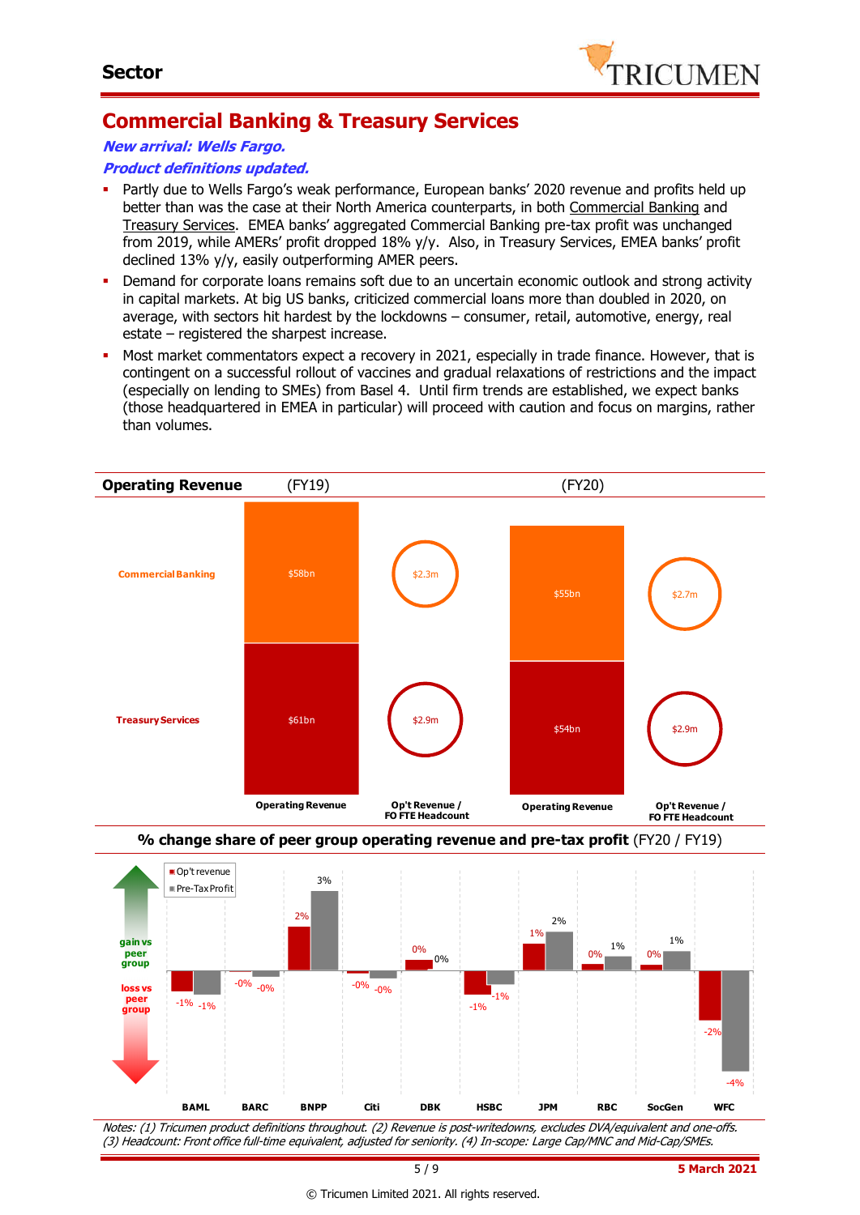

## **Commercial Banking & Treasury Services**

**New arrival: Wells Fargo.**

#### **Product definitions updated.**

- Partly due to Wells Fargo's weak performance, European banks' 2020 revenue and profits held up better than was the case at their North America counterparts, in both Commercial Banking and Treasury Services. EMEA banks' aggregated Commercial Banking pre-tax profit was unchanged from 2019, while AMERs' profit dropped 18% y/y. Also, in Treasury Services, EMEA banks' profit declined 13% y/y, easily outperforming AMER peers.
- Demand for corporate loans remains soft due to an uncertain economic outlook and strong activity in capital markets. At big US banks, criticized commercial loans more than doubled in 2020, on average, with sectors hit hardest by the lockdowns – consumer, retail, automotive, energy, real estate – registered the sharpest increase.
- Most market commentators expect a recovery in 2021, especially in trade finance. However, that is contingent on a successful rollout of vaccines and gradual relaxations of restrictions and the impact (especially on lending to SMEs) from Basel 4. Until firm trends are established, we expect banks (those headquartered in EMEA in particular) will proceed with caution and focus on margins, rather than volumes.



Notes: (1) Tricumen product definitions throughout. (2) Revenue is post-writedowns, excludes DVA/equivalent and one-offs. (3) Headcount: Front office full-time equivalent, adjusted for seniority. (4) In-scope: Large Cap/MNC and Mid-Cap/SMEs.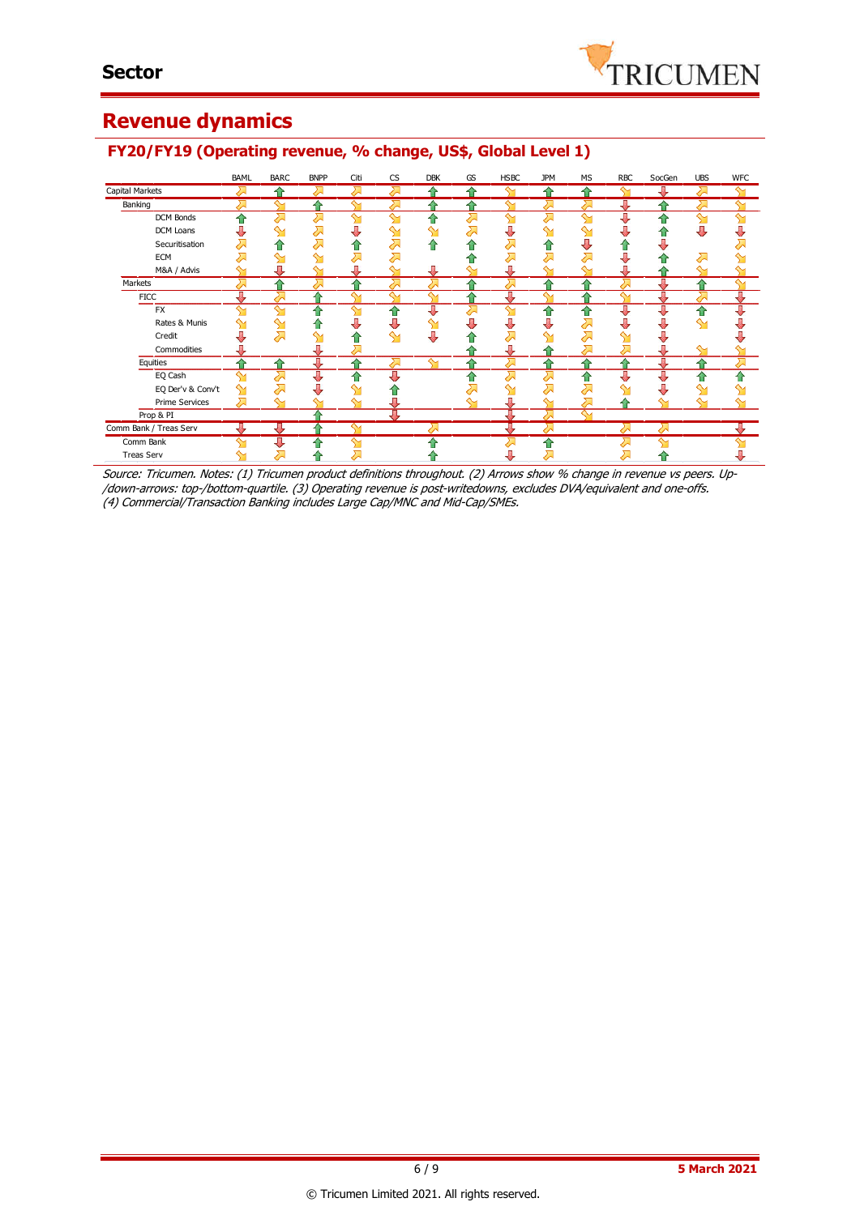

## **Revenue dynamics**

|                        | BAML | <b>BARC</b> | <b>BNPP</b> | Citi | <b>CS</b> | <b>DBK</b> | GS              | <b>HSBC</b> | <b>JPM</b> | <b>MS</b>    | RBC       | SocGen | <b>UBS</b> | <b>WFC</b> |
|------------------------|------|-------------|-------------|------|-----------|------------|-----------------|-------------|------------|--------------|-----------|--------|------------|------------|
| Capital Markets        |      |             | ∽           |      |           |            |                 |             |            |              |           |        | ′∼         |            |
| Banking                |      | ∾           | ♠           |      | ⋝         |            |                 | $\sim$      | ⋝          | ╱            | Д         |        | ᇬ          |            |
| DCM Bonds              | ⇑    | 겨           | 겨           | ↬    | $\sim$    | 合          | ⋝               | ள           | ⋝          | ∾            | J         |        | ഷ          | ഷ          |
| <b>DCM Loans</b>       | J    | ∾           | ⇗           |      | ∾         | ↬          | <del>द</del> ्य | ⇩           | ∾          |              |           |        | ⊕          |            |
| Securitisation         | ↗    | ♠           | ↗           | ⇑    | ⋝         | ♠          | ⇑               | ⋝           |            |              | 11        |        |            |            |
| <b>ECM</b>             |      | ↬           | ⇘           | 运    | ⋝         |            | ≏               | ↗           | ⋝          | ⇗            |           |        | ス          |            |
| M&A / Advis            |      |             | ∾           |      |           | л          |                 | J           |            |              |           |        | ∾          |            |
| Markets                | Д    |             | Д           | ♦    | ⋝         | ↗          | ↷               | 对           |            |              | ⋝         | Д      | ≏          | ∾          |
| <b>FICC</b>            | J.   | ⋝           | 合           |      | ∾         | ∾          | ≏               | ⇩           | ∾          | ≏            | ∾         | 專      | ↗          | ⇩          |
| <b>FX</b>              | ∾    | ⇘           | ⇑           | ∾    |           | ⊕          | ᇬ               | ள           | ⇑          | ⇑            | л         | ⇩      | 合          | J          |
| Rates & Munis          | ∾    | ഷ           | ⇑           | л    | J         | ஊ          | ⊕               | ⇩           | ⇩          | ⇗            | J         | J      | ഷ          |            |
| Credit                 | J    | 겨           | ⇘           | ⇧    | ∾         | ⇩          |                 | ⇗           |            | ⇗            | ↬         | U      |            |            |
| Commodities            |      |             | U           | ↗    |           |            |                 | J           |            | <del>ᅎ</del> | ⋝         | Д      | ∾          |            |
| Equities               | ⇑    | ⇑           | ⇩           | ⇑    | ⇗         | ↬          | ⇑               | ᅬ           | ⇑          | ⇑            | ⇑         | ⇩      | 合          | ⇗          |
| EQ Cash                | ∾    | ⇗           | ण           | ⇑    | U         |            | 습               | ⇗           | ↗          | ⇑            | J         | ⇩      | ⇧          | ♠          |
| EQ Der'v & Conv't      | ↬    | 겨           |             |      |           |            | ↗               | ⇘           | ⋝          | ⇗            | ↬         | U      | ⇘          |            |
| Prime Services         | ᅬ    | ⇘           | ∾           | ∾    |           |            | ∾               | ⇩           | ∾          | ⋝            | ⇑         |        | ↬          |            |
| Prop & PI              |      |             |             |      | π         |            |                 | π           | ⋝          | $\sim$       |           |        |            |            |
| Comm Bank / Treas Serv |      | л           |             | ∾    |           | ス          |                 | π           | ↗          |              | $\lambda$ | ↗      |            |            |
| Comm Bank              | ∾    |             | ⇑           | ∼    |           |            |                 |             | ⇧          |              |           | ᄾ      |            |            |
| <b>Treas Serv</b>      |      | ⇗           |             | ∽    |           |            |                 |             | ⋝          |              | ↗         |        |            |            |

### **FY20/FY19 (Operating revenue, % change, US\$, Global Level 1)**

Source: Tricumen. Notes: (1) Tricumen product definitions throughout. (2) Arrows show % change in revenue vs peers. Up- /down-arrows: top-/bottom-quartile. (3) Operating revenue is post-writedowns, excludes DVA/equivalent and one-offs. (4) Commercial/Transaction Banking includes Large Cap/MNC and Mid-Cap/SMEs.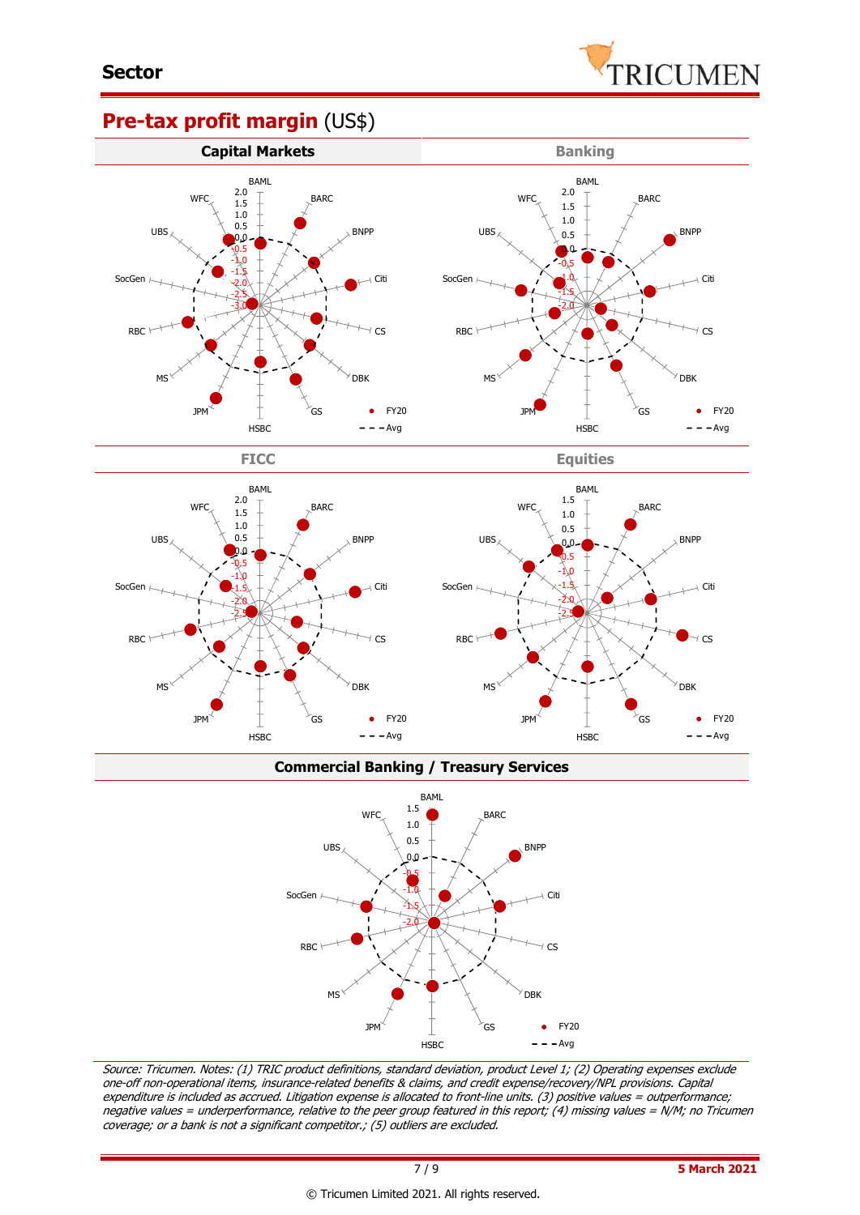

### **Pre-tax profit margin** (US\$)





**FICC Equities**



#### **Commercial Banking / Treasury Services**



Source: Tricumen. Notes: (1) TRIC product definitions, standard deviation, product Level 1; (2) Operating expenses exclude one-off non-operational items, insurance-related benefits & claims, and credit expense/recovery/NPL provisions. Capital expenditure is included as accrued. Litigation expense is allocated to front-line units. (3) positive values = outperformance; negative values = underperformance, relative to the peer group featured in this report; (4) missing values = N/M; no Tricumen coverage; or a bank is not a significant competitor.; (5) outliers are excluded.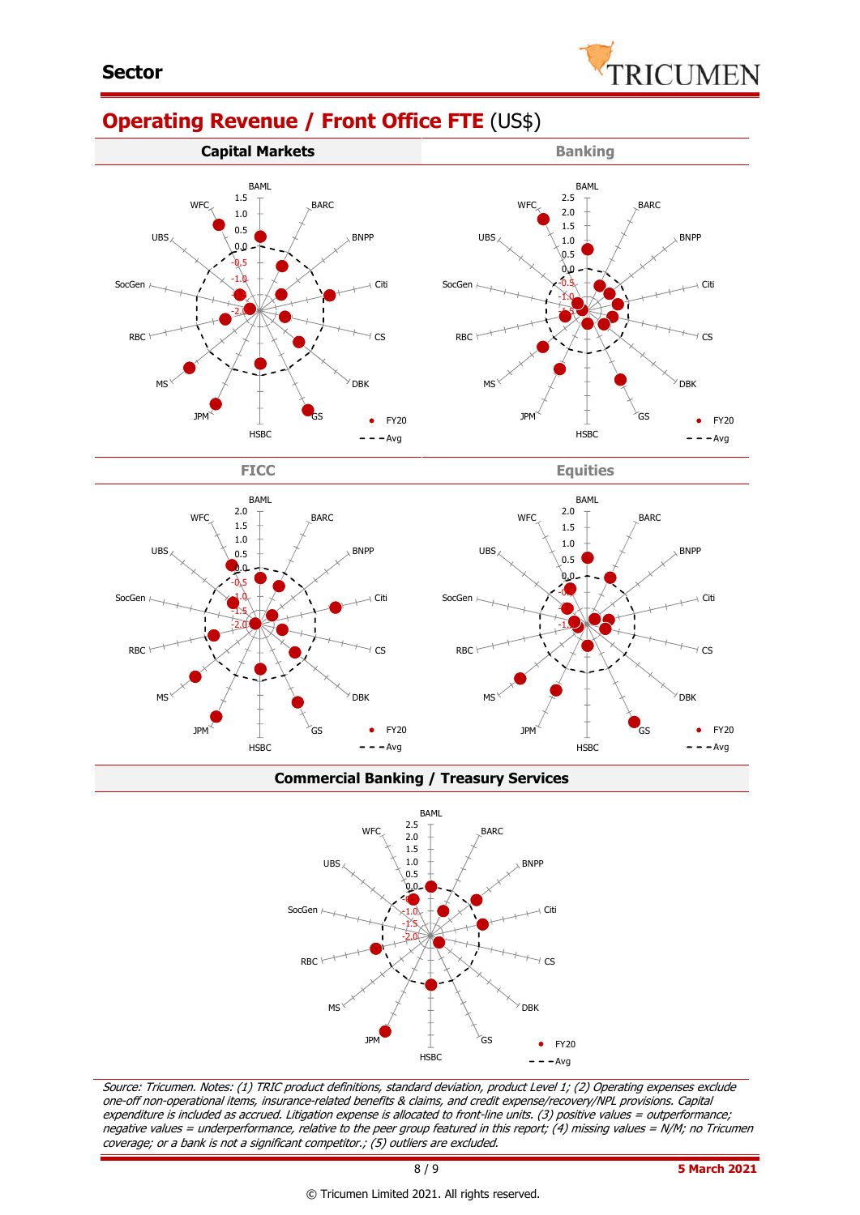

# **Operating Revenue / Front Office FTE** (US\$)









**Commercial Banking / Treasury Services**



Source: Tricumen. Notes: (1) TRIC product definitions, standard deviation, product Level 1; (2) Operating expenses exclude one-off non-operational items, insurance-related benefits & claims, and credit expense/recovery/NPL provisions. Capital expenditure is included as accrued. Litigation expense is allocated to front-line units. (3) positive values = outperformance; negative values = underperformance, relative to the peer group featured in this report; (4) missing values = N/M; no Tricumen coverage; or a bank is not a significant competitor.; (5) outliers are excluded.